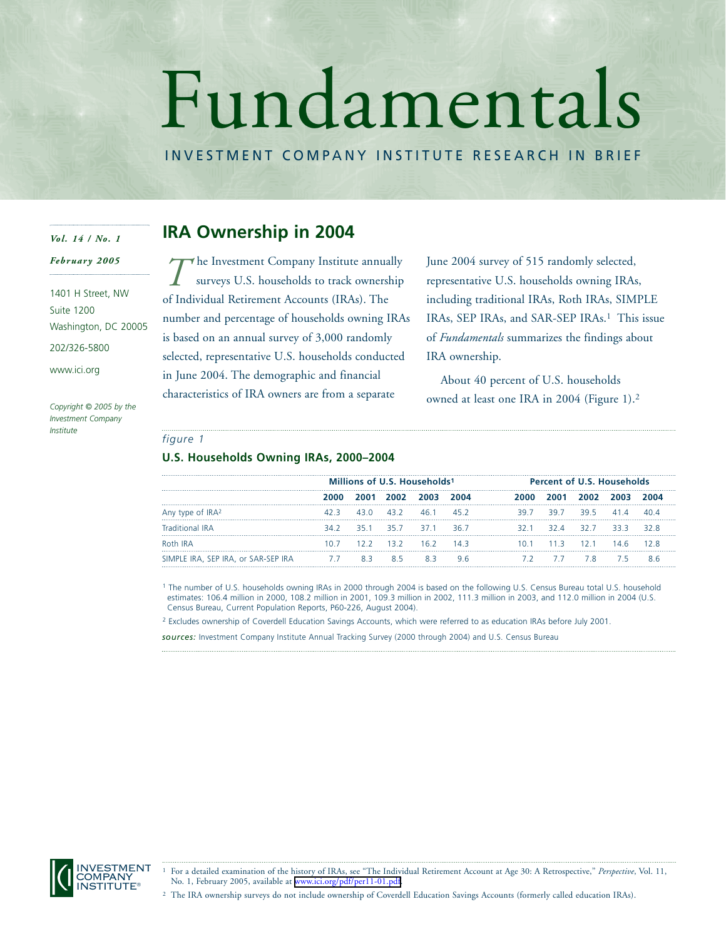# Fundamentals

INVESTMENT COMPANY INSTITUTE RESEARCH IN BRIEF

## *Vol. 14 / No. 1*

*February 2005*

1401 H Street, NW Suite 1200 Washington, DC 20005

202/326-5800

www.ici.org

*Copyright © 2005 by the Investment Company Institute*

# **IRA Ownership in 2004**

he Investment Company Institute annually surveys U.S. households to track ownership of Individual Retirement Accounts (IRAs). The number and percentage of households owning IRAs is based on an annual survey of 3,000 randomly selected, representative U.S. households conducted in June 2004. The demographic and financial characteristics of IRA owners are from a separate *T*

June 2004 survey of 515 randomly selected, representative U.S. households owning IRAs, including traditional IRAs, Roth IRAs, SIMPLE IRAs, SEP IRAs, and SAR-SEP IRAs.<sup>1</sup> This issue of *Fundamentals* summarizes the findings about IRA ownership.

About 40 percent of U.S. households owned at least one IRA in 2004 (Figure 1).2

## *figure 1*

## **U.S. Households Owning IRAs, 2000–2004**

|                                     | Millions of U.S. Households <sup>1</sup> |      |                | <b>Percent of U.S. Households</b> |              |                 |       |           |                     |      |
|-------------------------------------|------------------------------------------|------|----------------|-----------------------------------|--------------|-----------------|-------|-----------|---------------------|------|
|                                     | 2000.                                    |      | 2001 2002 2003 |                                   |              | 2000.           | 2001  | 2002.     | 2003                |      |
| Any type of IRA <sup>2</sup>        | 42 R                                     | 43 O | 43.2           | 461                               | 452          | 39.7            | 39.7  | 395       | $\Delta$ 1 $\Delta$ |      |
| <b>Traditional IRA</b>              | 34.2                                     |      |                | 351 357 371                       | 36.7         | 32.1            | 32 A  | 32.7 33.3 |                     | 32 R |
| Roth IRA                            | 1 N 7                                    |      |                | $122$ $132$ $162$                 | 1 <i>A</i> 3 | 10 <sub>1</sub> | - 113 | 121       |                     |      |
| SIMPLE IRA, SEP IRA, or SAR-SEP IRA | -7.7                                     |      |                |                                   |              |                 |       |           |                     |      |

<sup>1</sup> The number of U.S. households owning IRAs in 2000 through 2004 is based on the following U.S. Census Bureau total U.S. household estimates: 106.4 million in 2000, 108.2 million in 2001, 109.3 million in 2002, 111.3 million in 2003, and 112.0 million in 2004 (U.S. Census Bureau, Current Population Reports, P60-226, August 2004).

<sup>2</sup> Excludes ownership of Coverdell Education Savings Accounts, which were referred to as education IRAs before July 2001.

*sources:* Investment Company Institute Annual Tracking Survey (2000 through 2004) and U.S. Census Bureau



<sup>1</sup> For a detailed examination of the history of IRAs, see "The Individual Retirement Account at Age 30: A Retrospective," *Perspective*, Vol. 11, No. 1, February 2005, available at [www.ici.org/pdf/per11-01.pdf.](http://www.ici.org/pdf/per11-01.pdf)

<sup>2</sup> The IRA ownership surveys do not include ownership of Coverdell Education Savings Accounts (formerly called education IRAs).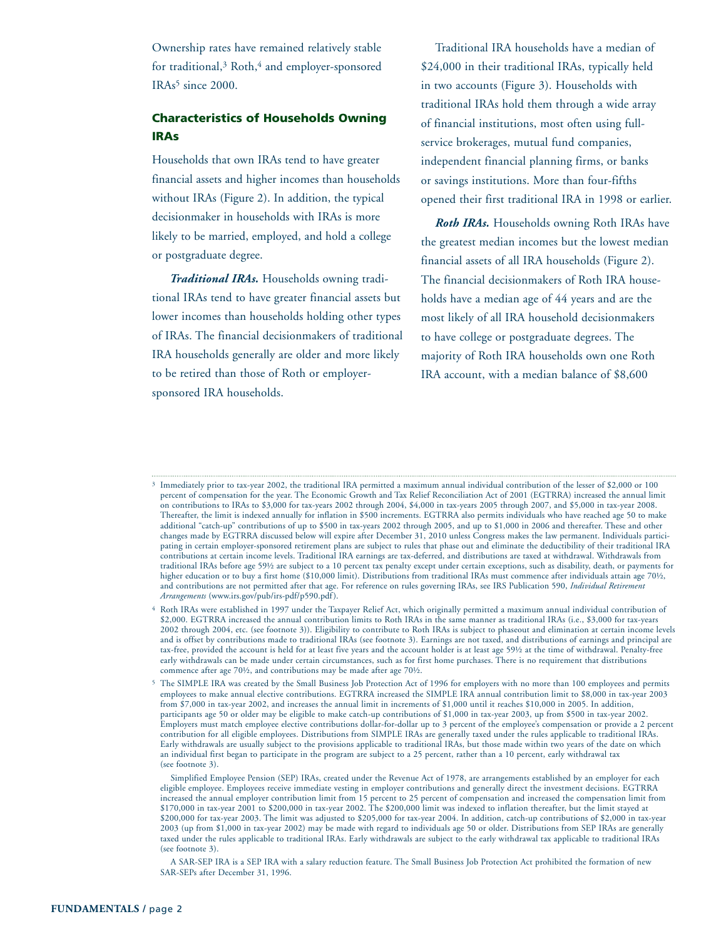Ownership rates have remained relatively stable for traditional,<sup>3</sup> Roth,<sup>4</sup> and employer-sponsored  $IRAs<sup>5</sup>$  since 2000.

## **Characteristics of Households Owning IRAs**

Households that own IRAs tend to have greater financial assets and higher incomes than households without IRAs (Figure 2). In addition, the typical decisionmaker in households with IRAs is more likely to be married, employed, and hold a college or postgraduate degree.

*Traditional IRAs.* Households owning traditional IRAs tend to have greater financial assets but lower incomes than households holding other types of IRAs. The financial decisionmakers of traditional IRA households generally are older and more likely to be retired than those of Roth or employersponsored IRA households.

Traditional IRA households have a median of \$24,000 in their traditional IRAs, typically held in two accounts (Figure 3). Households with traditional IRAs hold them through a wide array of financial institutions, most often using fullservice brokerages, mutual fund companies, independent financial planning firms, or banks or savings institutions. More than four-fifths opened their first traditional IRA in 1998 or earlier.

*Roth IRAs.* Households owning Roth IRAs have the greatest median incomes but the lowest median financial assets of all IRA households (Figure 2). The financial decisionmakers of Roth IRA households have a median age of 44 years and are the most likely of all IRA household decisionmakers to have college or postgraduate degrees. The majority of Roth IRA households own one Roth IRA account, with a median balance of \$8,600

<sup>3</sup> Immediately prior to tax-year 2002, the traditional IRA permitted a maximum annual individual contribution of the lesser of \$2,000 or 100 percent of compensation for the year. The Economic Growth and Tax Relief Reconciliation Act of 2001 (EGTRRA) increased the annual limit on contributions to IRAs to \$3,000 for tax-years 2002 through 2004, \$4,000 in tax-years 2005 through 2007, and \$5,000 in tax-year 2008. Thereafter, the limit is indexed annually for inflation in \$500 increments. EGTRRA also permits individuals who have reached age 50 to make additional "catch-up" contributions of up to \$500 in tax-years 2002 through 2005, and up to \$1,000 in 2006 and thereafter. These and other changes made by EGTRRA discussed below will expire after December 31, 2010 unless Congress makes the law permanent. Individuals participating in certain employer-sponsored retirement plans are subject to rules that phase out and eliminate the deductibility of their traditional IRA contributions at certain income levels. Traditional IRA earnings are tax-deferred, and distributions are taxed at withdrawal. Withdrawals from traditional IRAs before age 59½ are subject to a 10 percent tax penalty except under certain exceptions, such as disability, death, or payments for higher education or to buy a first home (\$10,000 limit). Distributions from traditional IRAs must commence after individuals attain age 70½, and contributions are not permitted after that age. For reference on rules governing IRAs, see IRS Publication 590, *Individual Retirement Arrangements* (www.irs.gov/pub/irs-pdf/p590.pdf).

<sup>4</sup> Roth IRAs were established in 1997 under the Taxpayer Relief Act, which originally permitted a maximum annual individual contribution of \$2,000. EGTRRA increased the annual contribution limits to Roth IRAs in the same manner as traditional IRAs (i.e., \$3,000 for tax-years 2002 through 2004, etc. (see footnote 3)). Eligibility to contribute to Roth IRAs is subject to phaseout and elimination at certain income levels and is offset by contributions made to traditional IRAs (see footnote 3). Earnings are not taxed, and distributions of earnings and principal are tax-free, provided the account is held for at least five years and the account holder is at least age 59½ at the time of withdrawal. Penalty-free early withdrawals can be made under certain circumstances, such as for first home purchases. There is no requirement that distributions commence after age 70½, and contributions may be made after age 70½.

<sup>5</sup> The SIMPLE IRA was created by the Small Business Job Protection Act of 1996 for employers with no more than 100 employees and permits employees to make annual elective contributions. EGTRRA increased the SIMPLE IRA annual contribution limit to \$8,000 in tax-year 2003 from \$7,000 in tax-year 2002, and increases the annual limit in increments of \$1,000 until it reaches \$10,000 in 2005. In addition, participants age 50 or older may be eligible to make catch-up contributions of \$1,000 in tax-year 2003, up from \$500 in tax-year 2002. Employers must match employee elective contributions dollar-for-dollar up to 3 percent of the employee's compensation or provide a 2 percent contribution for all eligible employees. Distributions from SIMPLE IRAs are generally taxed under the rules applicable to traditional IRAs. Early withdrawals are usually subject to the provisions applicable to traditional IRAs, but those made within two years of the date on which an individual first began to participate in the program are subject to a 25 percent, rather than a 10 percent, early withdrawal tax (see footnote 3).

Simplified Employee Pension (SEP) IRAs, created under the Revenue Act of 1978, are arrangements established by an employer for each eligible employee. Employees receive immediate vesting in employer contributions and generally direct the investment decisions. EGTRRA increased the annual employer contribution limit from 15 percent to 25 percent of compensation and increased the compensation limit from \$170,000 in tax-year 2001 to \$200,000 in tax-year 2002. The \$200,000 limit was indexed to inflation thereafter, but the limit stayed at \$200,000 for tax-year 2003. The limit was adjusted to \$205,000 for tax-year 2004. In addition, catch-up contributions of \$2,000 in tax-year 2003 (up from \$1,000 in tax-year 2002) may be made with regard to individuals age 50 or older. Distributions from SEP IRAs are generally taxed under the rules applicable to traditional IRAs. Early withdrawals are subject to the early withdrawal tax applicable to traditional IRAs (see footnote 3).

A SAR-SEP IRA is a SEP IRA with a salary reduction feature. The Small Business Job Protection Act prohibited the formation of new SAR-SEPs after December 31, 1996.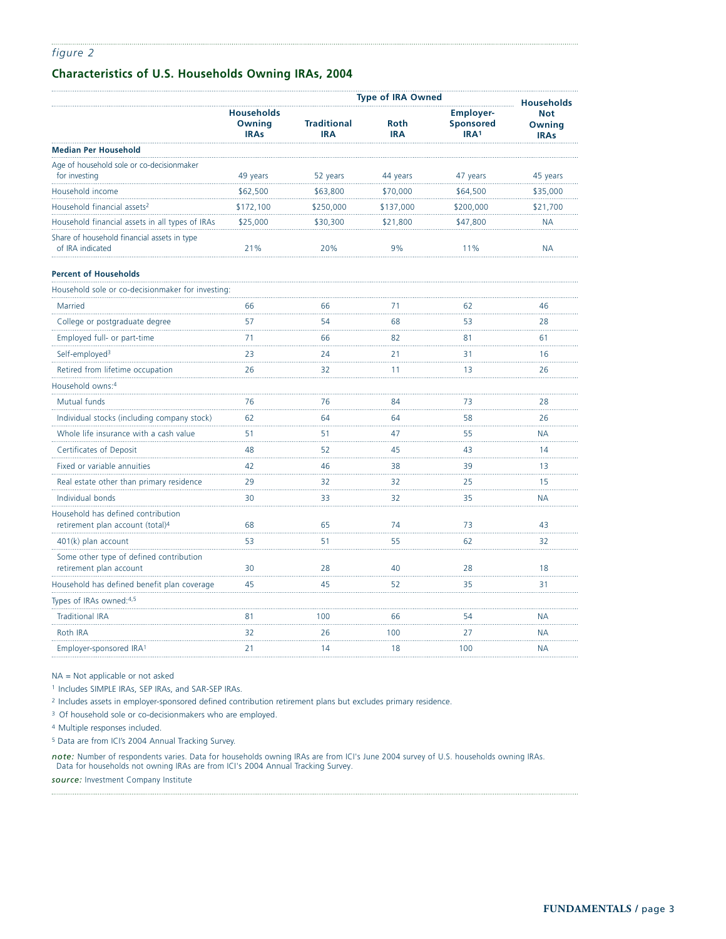## **Characteristics of U.S. Households Owning IRAs, 2004**

|                                                                                    | <b>Type of IRA Owned</b><br><b>Households</b> |                                  |                           |                                                          |                                     |  |
|------------------------------------------------------------------------------------|-----------------------------------------------|----------------------------------|---------------------------|----------------------------------------------------------|-------------------------------------|--|
|                                                                                    | <b>Households</b><br>Owning<br><b>IRAs</b>    | <b>Traditional</b><br><b>IRA</b> | <b>Roth</b><br><b>IRA</b> | <b>Employer-</b><br><b>Sponsored</b><br>IRA <sup>1</sup> | <b>Not</b><br>Owning<br><b>IRAs</b> |  |
| <b>Median Per Household</b>                                                        |                                               |                                  |                           |                                                          |                                     |  |
| Age of household sole or co-decisionmaker<br>for investing                         | 49 years                                      | 52 years                         | 44 years                  | 47 years                                                 | 45 years                            |  |
| Household income                                                                   | \$62,500                                      | \$63,800                         | \$70,000                  | \$64,500                                                 | \$35,000                            |  |
| Household financial assets <sup>2</sup>                                            | \$172,100                                     | \$250,000                        | \$137,000                 | \$200,000                                                | \$21,700                            |  |
| Household financial assets in all types of IRAs                                    | \$25,000                                      | \$30,300                         | \$21,800                  | \$47,800                                                 | <b>NA</b>                           |  |
| Share of household financial assets in type<br>of IRA indicated                    | 21%                                           | 20%                              | 9%                        | 11%                                                      | <b>NA</b>                           |  |
| <b>Percent of Households</b>                                                       |                                               |                                  |                           |                                                          |                                     |  |
| Household sole or co-decisionmaker for investing:                                  |                                               |                                  |                           |                                                          |                                     |  |
| Married                                                                            | 66                                            | 66                               | 71                        | 62                                                       | 46                                  |  |
| College or postgraduate degree                                                     | 57                                            | 54                               | 68                        | 53                                                       | 28                                  |  |
| Employed full- or part-time                                                        | 71                                            | 66                               | 82                        | 81                                                       | 61                                  |  |
| Self-employed <sup>3</sup>                                                         | 23                                            | 24                               | 21                        | 31                                                       | 16                                  |  |
| Retired from lifetime occupation                                                   | 26                                            | 32                               | 11                        | 13                                                       | 26                                  |  |
| Household owns:4                                                                   |                                               |                                  |                           |                                                          |                                     |  |
| Mutual funds                                                                       | 76                                            | 76                               | 84                        | 73                                                       | 28                                  |  |
| Individual stocks (including company stock)                                        | 62                                            | 64                               | 64                        | 58                                                       | 26                                  |  |
| Whole life insurance with a cash value                                             | 51                                            | 51                               | 47                        | 55                                                       | <b>NA</b>                           |  |
| Certificates of Deposit                                                            | 48                                            | 52                               | 45                        | 43                                                       | 14                                  |  |
| Fixed or variable annuities                                                        | 42                                            | 46                               | 38                        | 39                                                       | 13                                  |  |
| Real estate other than primary residence                                           | 29                                            | 32                               | 32                        | 25                                                       | 15<br>.                             |  |
| Individual bonds                                                                   | 30                                            | 33                               | 32                        | 35                                                       | <b>NA</b>                           |  |
| Household has defined contribution<br>retirement plan account (total) <sup>4</sup> | 68                                            | 65                               | 74                        | 73                                                       | 43                                  |  |
| 401(k) plan account                                                                | 53                                            | 51                               | 55                        | 62                                                       | 32                                  |  |
| Some other type of defined contribution<br>retirement plan account                 | 30                                            | 28                               | 40                        | 28                                                       | 18                                  |  |
| Household has defined benefit plan coverage                                        | 45                                            | 45                               | 52                        | 35                                                       | 31                                  |  |
| Types of IRAs owned: 4,5                                                           |                                               |                                  |                           |                                                          |                                     |  |
| <b>Traditional IRA</b>                                                             | 81                                            | 100                              | 66                        | 54                                                       | <b>NA</b>                           |  |
| Roth IRA                                                                           | 32                                            | 26                               | 100                       | 27                                                       | <b>NA</b>                           |  |
| Employer-sponsored IRA1                                                            | 21                                            | 14                               | 18                        | 100                                                      | <b>NA</b>                           |  |

NA = Not applicable or not asked

<sup>1</sup> Includes SIMPLE IRAs, SEP IRAs, and SAR-SEP IRAs.

<sup>2</sup> Includes assets in employer-sponsored defined contribution retirement plans but excludes primary residence.

<sup>3</sup> Of household sole or co-decisionmakers who are employed.

<sup>4</sup> Multiple responses included.

<sup>5</sup> Data are from ICI's 2004 Annual Tracking Survey.

*note:* Number of respondents varies. Data for households owning IRAs are from ICI's June 2004 survey of U.S. households owning IRAs. Data for households not owning IRAs are from ICI's 2004 Annual Tracking Survey.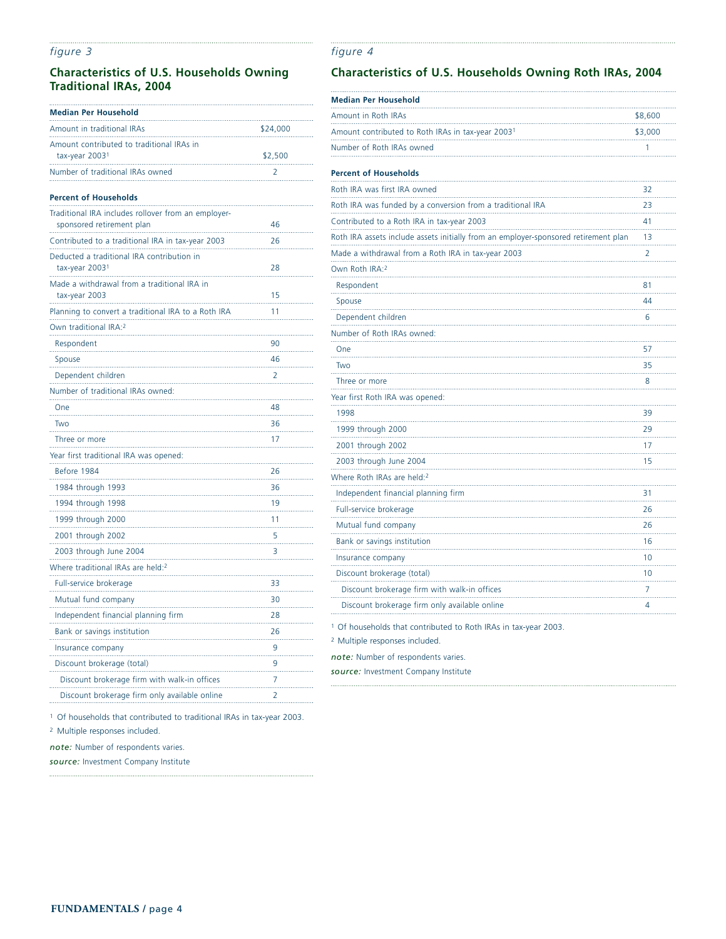## **Characteristics of U.S. Households Owning Traditional IRAs, 2004**

| <b>Median Per Household</b>                                                      |          |
|----------------------------------------------------------------------------------|----------|
| Amount in traditional IRAs                                                       | \$24,000 |
| Amount contributed to traditional IRAs in<br>tax-year 2003 <sup>1</sup>          | \$2,500  |
| Number of traditional IRAs owned                                                 | 2        |
| <b>Percent of Households</b>                                                     |          |
| Traditional IRA includes rollover from an employer-<br>sponsored retirement plan | 46       |
| Contributed to a traditional IRA in tax-year 2003                                | 26       |
| Deducted a traditional IRA contribution in<br>tax-year 2003 <sup>1</sup>         | 28       |
| Made a withdrawal from a traditional IRA in<br>tax-year 2003                     | 15       |
| Planning to convert a traditional IRA to a Roth IRA                              | 11       |
| Own traditional IRA: <sup>2</sup>                                                |          |
| Respondent                                                                       | 90       |
| Spouse                                                                           | 46       |
| Dependent children                                                               | 2        |
| Number of traditional IRAs owned:                                                |          |
| One                                                                              | 48       |
| Two                                                                              | 36       |
| Three or more                                                                    | 17       |
| Year first traditional IRA was opened:                                           |          |
| Before 1984                                                                      | 26       |
| 1984 through 1993                                                                | 36       |
| 1994 through 1998                                                                | 19       |
| 1999 through 2000                                                                | 11       |
| 2001 through 2002                                                                | 5        |
| 2003 through June 2004                                                           | 3        |
| Where traditional IRAs are held: <sup>2</sup>                                    |          |
| Full-service brokerage                                                           | 33       |
| Mutual fund company                                                              | 30       |
| Independent financial planning firm                                              | 28       |
| Bank or savings institution                                                      | 26       |
| Insurance company                                                                | 9        |
| Discount brokerage (total)                                                       | 9        |
| Discount brokerage firm with walk-in offices                                     | 7        |
| Discount brokerage firm only available online                                    | 2        |

## **Characteristics of U.S. Households Owning Roth IRAs, 2004**

| <b>Median Per Household</b>                                                         |         |
|-------------------------------------------------------------------------------------|---------|
| Amount in Roth IRAs                                                                 | \$8,600 |
| Amount contributed to Roth IRAs in tax-year 2003 <sup>1</sup>                       | \$3,000 |
| Number of Roth IRAs owned                                                           | 1       |
| <b>Percent of Households</b>                                                        |         |
| Roth IRA was first IRA owned                                                        | 32      |
| Roth IRA was funded by a conversion from a traditional IRA                          | 23      |
| Contributed to a Roth IRA in tax-year 2003                                          | 41      |
| Roth IRA assets include assets initially from an employer-sponsored retirement plan | 13      |
| Made a withdrawal from a Roth IRA in tax-year 2003                                  | 2       |
| Own Roth IRA:2                                                                      |         |
| Respondent                                                                          | 81      |
| Spouse                                                                              | 44      |
| Dependent children                                                                  | 6       |
| Number of Roth IRAs owned:                                                          |         |
| One                                                                                 | 57      |
| Two                                                                                 | 35      |
| Three or more                                                                       | 8       |
| Year first Roth IRA was opened:                                                     |         |
| 1998                                                                                | 39      |
| 1999 through 2000                                                                   | 29      |
| 2001 through 2002                                                                   | 17      |
| 2003 through June 2004                                                              | 15      |
| Where Roth IRAs are held:2                                                          |         |
| Independent financial planning firm                                                 | 31      |
| Full-service brokerage                                                              | 26      |
| Mutual fund company                                                                 | 26      |
| Bank or savings institution                                                         | 16      |
| Insurance company                                                                   | 10      |
| Discount brokerage (total)                                                          | 10      |
| Discount brokerage firm with walk-in offices                                        | 7<br>   |
| Discount brokerage firm only available online                                       | 4       |

<sup>1</sup> Of households that contributed to Roth IRAs in tax-year 2003.

<sup>2</sup> Multiple responses included.

*figure 4*

*note:* Number of respondents varies.

*source:* Investment Company Institute

<sup>1</sup> Of households that contributed to traditional IRAs in tax-year 2003.

<sup>2</sup> Multiple responses included.

*note:* Number of respondents varies.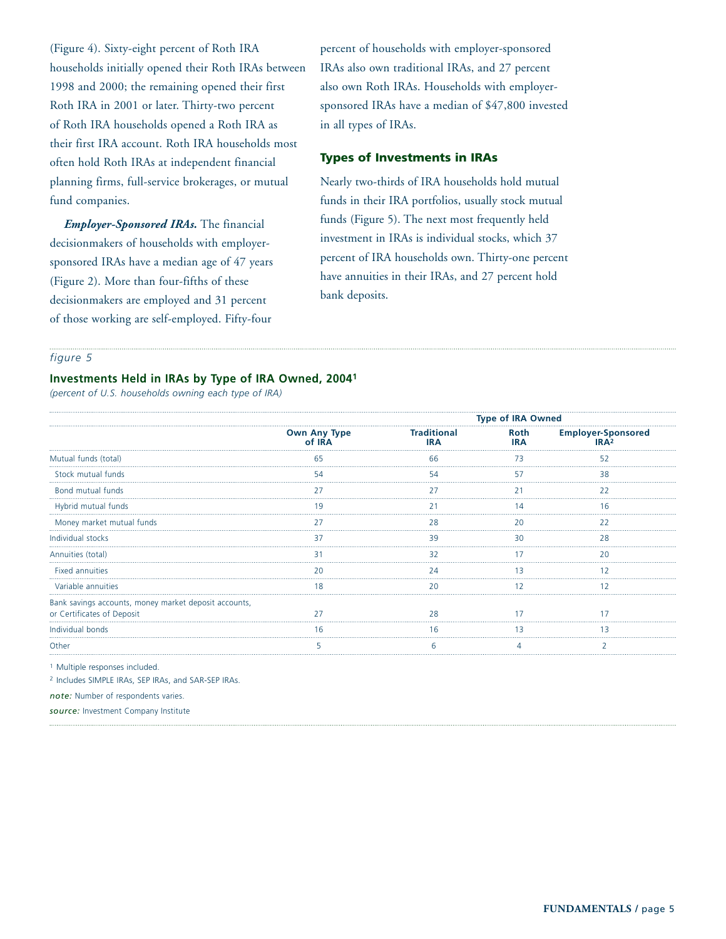(Figure 4). Sixty-eight percent of Roth IRA households initially opened their Roth IRAs between 1998 and 2000; the remaining opened their first Roth IRA in 2001 or later. Thirty-two percent of Roth IRA households opened a Roth IRA as their first IRA account. Roth IRA households most often hold Roth IRAs at independent financial planning firms, full-service brokerages, or mutual fund companies.

*Employer-Sponsored IRAs.* The financial decisionmakers of households with employersponsored IRAs have a median age of 47 years (Figure 2). More than four-fifths of these decisionmakers are employed and 31 percent of those working are self-employed. Fifty-four

percent of households with employer-sponsored IRAs also own traditional IRAs, and 27 percent also own Roth IRAs. Households with employersponsored IRAs have a median of \$47,800 invested in all types of IRAs.

## **Types of Investments in IRAs**

Nearly two-thirds of IRA households hold mutual funds in their IRA portfolios, usually stock mutual funds (Figure 5). The next most frequently held investment in IRAs is individual stocks, which 37 percent of IRA households own. Thirty-one percent have annuities in their IRAs, and 27 percent hold bank deposits.

#### *figure 5*

### **Investments Held in IRAs by Type of IRA Owned, 20041**

*(percent of U.S. households owning each type of IRA)*

|                                                                                     |                               |                                  | <b>Type of IRA Owned</b> |                                   |  |
|-------------------------------------------------------------------------------------|-------------------------------|----------------------------------|--------------------------|-----------------------------------|--|
|                                                                                     | <b>Own Any Type</b><br>of IRA | <b>Traditional</b><br><b>IRA</b> | Roth<br><b>IRA</b>       | <b>Employer-Sponsored</b><br>IPA2 |  |
| Mutual funds (total)                                                                |                               | 66                               |                          | 52                                |  |
| Stock mutual funds                                                                  |                               |                                  |                          |                                   |  |
| Bond mutual funds                                                                   |                               |                                  |                          | 22                                |  |
| Hybrid mutual funds                                                                 |                               |                                  |                          |                                   |  |
| Money market mutual funds                                                           |                               | 28                               |                          | 22                                |  |
| Individual stocks                                                                   |                               |                                  |                          |                                   |  |
| Annuities (total)                                                                   |                               | 32                               |                          | 20                                |  |
| <b>Fixed annuities</b>                                                              |                               |                                  |                          |                                   |  |
| Variable annuities                                                                  |                               |                                  |                          |                                   |  |
| Bank savings accounts, money market deposit accounts,<br>or Certificates of Deposit |                               |                                  |                          |                                   |  |
| Individual bonds                                                                    |                               |                                  |                          |                                   |  |
| Other                                                                               |                               |                                  |                          |                                   |  |
|                                                                                     |                               |                                  |                          |                                   |  |

<sup>1</sup> Multiple responses included.

<sup>2</sup> Includes SIMPLE IRAs, SEP IRAs, and SAR-SEP IRAs.

*note:* Number of respondents varies.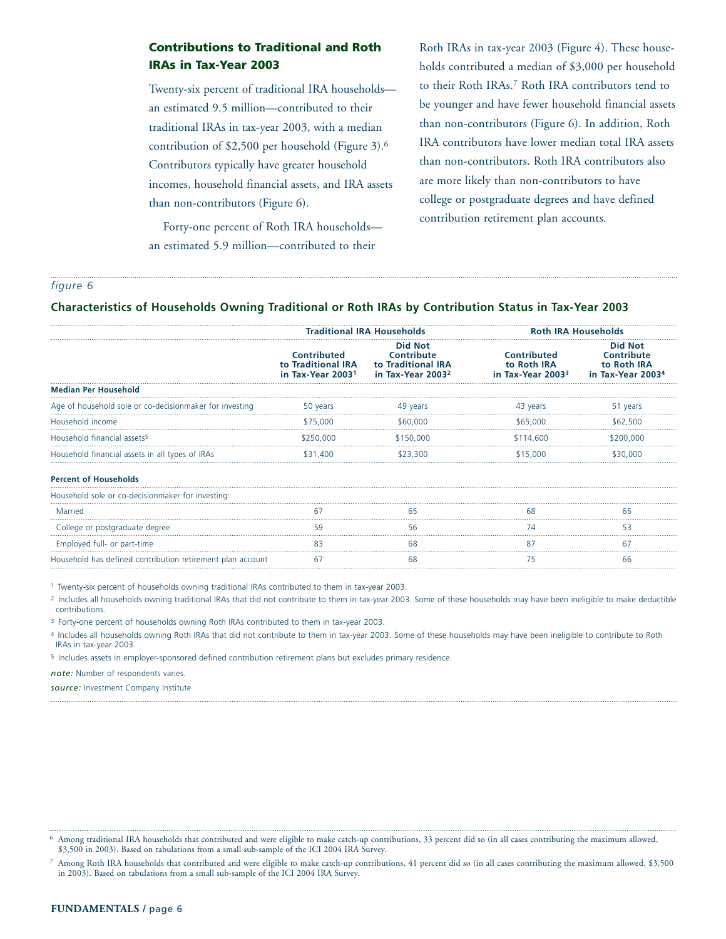## **Contributions to Traditional and Roth IRAs in Tax-Year 2003**

Twenty-six percent of traditional IRA households an estimated 9.5 million—contributed to their traditional IRAs in tax-year 2003, with a median contribution of \$2,500 per household (Figure 3).6 Contributors typically have greater household incomes, household financial assets, and IRA assets than non-contributors (Figure 6).

Roth IRAs in tax-year 2003 (Figure 4). These households contributed a median of \$3,000 per household to their Roth IRAs.7 Roth IRA contributors tend to be younger and have fewer household financial assets than non-contributors (Figure 6). In addition, Roth IRA contributors have lower median total IRA assets than non-contributors. Roth IRA contributors also are more likely than non-contributors to have college or postgraduate degrees and have defined contribution retirement plan accounts.

Forty-one percent of Roth IRA households an estimated 5.9 million—contributed to their

#### *figure 6*

#### **Characteristics of Households Owning Traditional or Roth IRAs by Contribution Status in Tax-Year 2003**

|                                                            | <b>Traditional IRA Households</b>                      |                                                                                     | <b>Roth IRA Households</b>                                         |                                                                              |  |
|------------------------------------------------------------|--------------------------------------------------------|-------------------------------------------------------------------------------------|--------------------------------------------------------------------|------------------------------------------------------------------------------|--|
|                                                            | Contributed<br>to Traditional IRA<br>in Tax-Year 20031 | <b>Did Not</b><br>Contribute<br>to Traditional IRA<br>in Tax-Year 2003 <sup>2</sup> | <b>Contributed</b><br>to Roth IRA<br>in Tax-Year 2003 <sup>3</sup> | <b>Did Not</b><br>Contribute<br>to Roth IRA<br>in Tax-Year 2003 <sup>4</sup> |  |
| <b>Median Per Household</b>                                |                                                        |                                                                                     |                                                                    |                                                                              |  |
| Age of household sole or co-decisionmaker for investing    | 50 years                                               | 49 years                                                                            | 43 years                                                           | 51 years                                                                     |  |
| Household income                                           | \$75,000                                               | \$60,000                                                                            | \$65,000                                                           | \$62,500                                                                     |  |
| Household financial assets <sup>5</sup>                    | \$250.000                                              | \$150.000                                                                           | \$114.600                                                          |                                                                              |  |
| Household financial assets in all types of IRAs            | \$31,400                                               | \$23,300                                                                            | \$15,000                                                           |                                                                              |  |
| <b>Percent of Households</b>                               |                                                        |                                                                                     |                                                                    |                                                                              |  |
| Household sole or co-decisionmaker for investing:          |                                                        |                                                                                     |                                                                    |                                                                              |  |
| Married                                                    |                                                        |                                                                                     |                                                                    |                                                                              |  |
| College or postgraduate degree                             | 59                                                     | 56                                                                                  | 74                                                                 | 53                                                                           |  |
| Employed full- or part-time                                |                                                        | 68                                                                                  |                                                                    | 67                                                                           |  |
| Household has defined contribution retirement plan account |                                                        | 68                                                                                  |                                                                    |                                                                              |  |
|                                                            |                                                        |                                                                                     |                                                                    |                                                                              |  |

<sup>1</sup> Twenty-six percent of households owning traditional IRAs contributed to them in tax-year 2003.

<sup>2</sup> Includes all households owning traditional IRAs that did not contribute to them in tax-year 2003. Some of these households may have been ineligible to make deductible contributions.

<sup>3</sup> Forty-one percent of households owning Roth IRAs contributed to them in tax-year 2003.

4 Includes all households owning Roth IRAs that did not contribute to them in tax-year 2003. Some of these households may have been ineligible to contribute to Roth IRAs in tax-year 2003.

<sup>5</sup> Includes assets in employer-sponsored defined contribution retirement plans but excludes primary residence.

*note:* Number of respondents varies.

<sup>6</sup> Among traditional IRA households that contributed and were eligible to make catch-up contributions, 33 percent did so (in all cases contributing the maximum allowed, \$3,500 in 2003). Based on tabulations from a small sub-sample of the ICI 2004 IRA Survey.

<sup>7</sup> Among Roth IRA households that contributed and were eligible to make catch-up contributions, 41 percent did so (in all cases contributing the maximum allowed, \$3,500 in 2003). Based on tabulations from a small sub-sample of the ICI 2004 IRA Survey.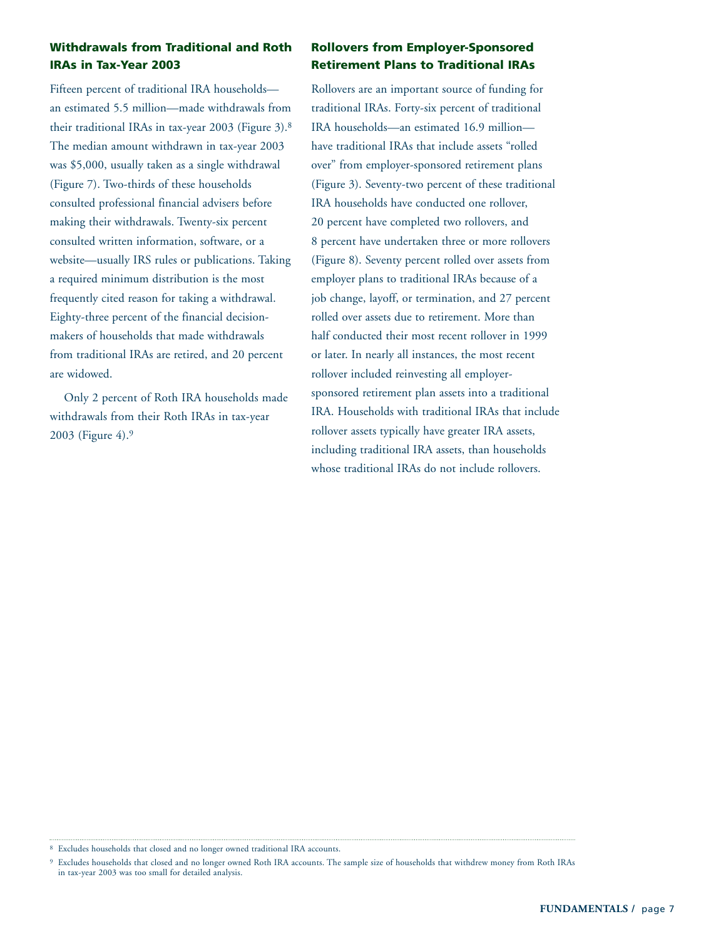## **Withdrawals from Traditional and Roth IRAs in Tax-Year 2003**

Fifteen percent of traditional IRA households an estimated 5.5 million—made withdrawals from their traditional IRAs in tax-year 2003 (Figure 3).8 The median amount withdrawn in tax-year 2003 was \$5,000, usually taken as a single withdrawal (Figure 7). Two-thirds of these households consulted professional financial advisers before making their withdrawals. Twenty-six percent consulted written information, software, or a website—usually IRS rules or publications. Taking a required minimum distribution is the most frequently cited reason for taking a withdrawal. Eighty-three percent of the financial decisionmakers of households that made withdrawals from traditional IRAs are retired, and 20 percent are widowed.

Only 2 percent of Roth IRA households made withdrawals from their Roth IRAs in tax-year 2003 (Figure 4).9

## **Rollovers from Employer-Sponsored Retirement Plans to Traditional IRAs**

Rollovers are an important source of funding for traditional IRAs. Forty-six percent of traditional IRA households—an estimated 16.9 million have traditional IRAs that include assets "rolled over" from employer-sponsored retirement plans (Figure 3). Seventy-two percent of these traditional IRA households have conducted one rollover, 20 percent have completed two rollovers, and 8 percent have undertaken three or more rollovers (Figure 8). Seventy percent rolled over assets from employer plans to traditional IRAs because of a job change, layoff, or termination, and 27 percent rolled over assets due to retirement. More than half conducted their most recent rollover in 1999 or later. In nearly all instances, the most recent rollover included reinvesting all employersponsored retirement plan assets into a traditional IRA. Households with traditional IRAs that include rollover assets typically have greater IRA assets, including traditional IRA assets, than households whose traditional IRAs do not include rollovers.

<sup>8</sup> Excludes households that closed and no longer owned traditional IRA accounts.

<sup>9</sup> Excludes households that closed and no longer owned Roth IRA accounts. The sample size of households that withdrew money from Roth IRAs in tax-year 2003 was too small for detailed analysis.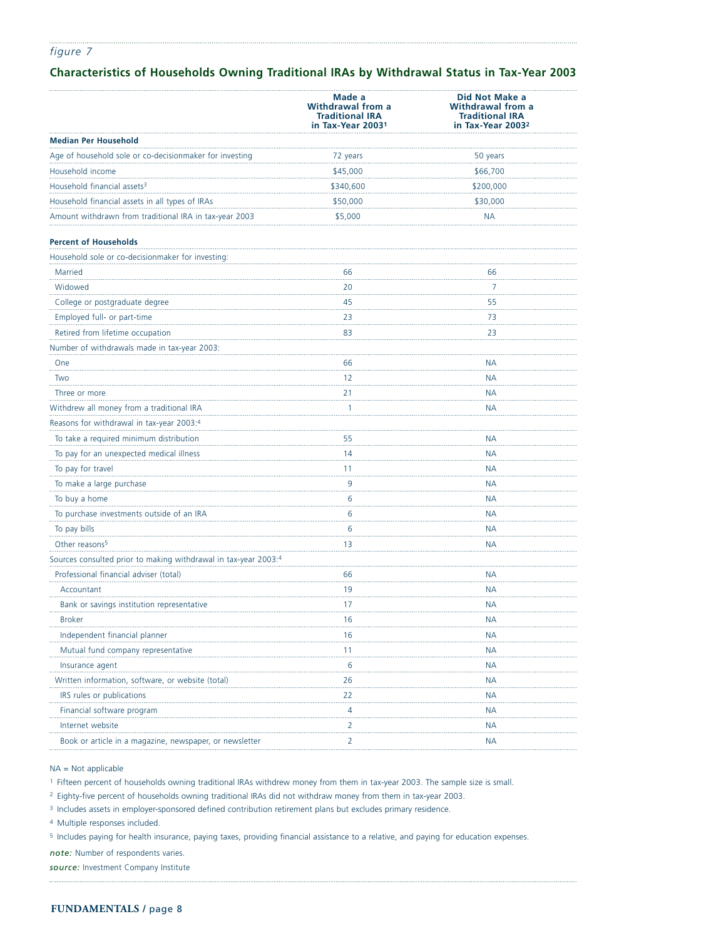## **Characteristics of Households Owning Traditional IRAs by Withdrawal Status in Tax-Year 2003**

|                                                                 | Made a<br>Withdrawal from a<br><b>Traditional IRA</b><br>in Tax-Year 2003 <sup>1</sup> | Did Not Make a<br>Withdrawal from a<br><b>Traditional IRA</b><br>in Tax-Year 2003 <sup>2</sup> |
|-----------------------------------------------------------------|----------------------------------------------------------------------------------------|------------------------------------------------------------------------------------------------|
| <b>Median Per Household</b>                                     |                                                                                        |                                                                                                |
| Age of household sole or co-decisionmaker for investing         | 72 years                                                                               | 50 years                                                                                       |
| Household income                                                | \$45,000                                                                               | \$66,700                                                                                       |
| Household financial assets <sup>3</sup>                         | \$340,600                                                                              | \$200,000                                                                                      |
| Household financial assets in all types of IRAs                 | \$50,000                                                                               | \$30,000                                                                                       |
| Amount withdrawn from traditional IRA in tax-year 2003          | \$5,000                                                                                | <b>NA</b>                                                                                      |
| <b>Percent of Households</b>                                    |                                                                                        |                                                                                                |
| Household sole or co-decisionmaker for investing:               |                                                                                        |                                                                                                |
| Married                                                         | 66                                                                                     | 66                                                                                             |
| Widowed                                                         | 20                                                                                     | 7                                                                                              |
| College or postgraduate degree                                  | 45                                                                                     | 55                                                                                             |
| Employed full- or part-time                                     | 23                                                                                     | 73                                                                                             |
| Retired from lifetime occupation                                | 83                                                                                     | 23                                                                                             |
| Number of withdrawals made in tax-year 2003:                    |                                                                                        |                                                                                                |
| One                                                             | 66                                                                                     | <b>NA</b>                                                                                      |
| Two                                                             | 12                                                                                     | NA                                                                                             |
| Three or more                                                   | 21                                                                                     | <b>NA</b>                                                                                      |
| Withdrew all money from a traditional IRA                       | 1                                                                                      | NА                                                                                             |
| Reasons for withdrawal in tax-year 2003:4                       |                                                                                        |                                                                                                |
| To take a required minimum distribution                         | 55                                                                                     | NA                                                                                             |
| To pay for an unexpected medical illness                        | 14                                                                                     | <b>NA</b>                                                                                      |
| To pay for travel                                               | 11                                                                                     | NA                                                                                             |
| To make a large purchase                                        | 9                                                                                      | <b>NA</b>                                                                                      |
| To buy a home                                                   | 6                                                                                      | NA                                                                                             |
| To purchase investments outside of an IRA                       | 6                                                                                      | <b>NA</b>                                                                                      |
| To pay bills                                                    | 6                                                                                      | <b>NA</b>                                                                                      |
| Other reasons <sup>5</sup>                                      | 13                                                                                     | <b>NA</b>                                                                                      |
| Sources consulted prior to making withdrawal in tax-year 2003:4 |                                                                                        |                                                                                                |
| Professional financial adviser (total)                          | 66                                                                                     | <b>NA</b>                                                                                      |
| Accountant                                                      | 19                                                                                     | NA                                                                                             |
| Bank or savings institution representative                      | 17                                                                                     | NA                                                                                             |
| <b>Broker</b>                                                   | 16                                                                                     | NA                                                                                             |
| Independent financial planner                                   | 16                                                                                     | <b>NA</b>                                                                                      |
| Mutual fund company representative                              | 11                                                                                     | <b>NA</b>                                                                                      |
| Insurance agent                                                 | 6                                                                                      | <b>NA</b>                                                                                      |
| Written information, software, or website (total)               | 26                                                                                     | <b>NA</b>                                                                                      |
| IRS rules or publications                                       | 22                                                                                     | <b>NA</b>                                                                                      |
| Financial software program                                      | $\overline{4}$                                                                         | NА                                                                                             |
| Internet website                                                | 2                                                                                      | <b>NA</b>                                                                                      |
| Book or article in a magazine, newspaper, or newsletter         | 2                                                                                      | <b>NA</b>                                                                                      |

NA = Not applicable

<sup>1</sup> Fifteen percent of households owning traditional IRAs withdrew money from them in tax-year 2003. The sample size is small.

<sup>2</sup> Eighty-five percent of households owning traditional IRAs did not withdraw money from them in tax-year 2003.

<sup>3</sup> Includes assets in employer-sponsored defined contribution retirement plans but excludes primary residence.

<sup>4</sup> Multiple responses included.

<sup>5</sup> Includes paying for health insurance, paying taxes, providing financial assistance to a relative, and paying for education expenses.

*note:* Number of respondents varies.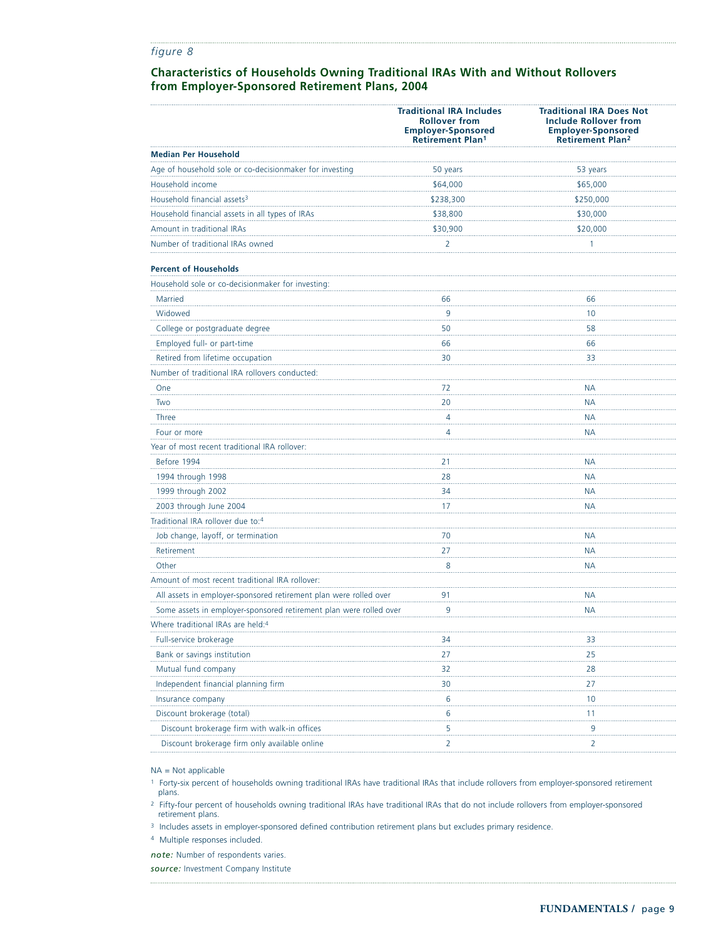## **Characteristics of Households Owning Traditional IRAs With and Without Rollovers from Employer-Sponsored Retirement Plans, 2004**

|                                                                    | <b>Traditional IRA Includes</b><br><b>Rollover from</b><br><b>Employer-Sponsored</b><br><b>Retirement Plan1</b> | <b>Traditional IRA Does Not</b><br><b>Include Rollover from</b><br><b>Employer-Sponsored</b><br><b>Retirement Plan<sup>2</sup></b> |
|--------------------------------------------------------------------|-----------------------------------------------------------------------------------------------------------------|------------------------------------------------------------------------------------------------------------------------------------|
| <b>Median Per Household</b>                                        |                                                                                                                 |                                                                                                                                    |
| Age of household sole or co-decisionmaker for investing            | 50 years                                                                                                        | 53 years                                                                                                                           |
| Household income                                                   | \$64,000                                                                                                        | \$65,000                                                                                                                           |
| Household financial assets <sup>3</sup>                            | \$238,300                                                                                                       | \$250,000                                                                                                                          |
| Household financial assets in all types of IRAs                    | \$38,800                                                                                                        | \$30,000                                                                                                                           |
| Amount in traditional IRAs                                         | \$30,900                                                                                                        | \$20,000                                                                                                                           |
| Number of traditional IRAs owned                                   | 2                                                                                                               | 1                                                                                                                                  |
| <b>Percent of Households</b>                                       |                                                                                                                 |                                                                                                                                    |
| Household sole or co-decisionmaker for investing:                  |                                                                                                                 |                                                                                                                                    |
| Married                                                            | 66                                                                                                              | 66                                                                                                                                 |
| Widowed                                                            | 9                                                                                                               | 10                                                                                                                                 |
| College or postgraduate degree                                     | 50                                                                                                              | 58                                                                                                                                 |
| Employed full- or part-time                                        | 66                                                                                                              | 66                                                                                                                                 |
| Retired from lifetime occupation                                   | 30                                                                                                              | 33                                                                                                                                 |
| Number of traditional IRA rollovers conducted:                     |                                                                                                                 |                                                                                                                                    |
| One                                                                | 72                                                                                                              | NА                                                                                                                                 |
| Two                                                                | 20                                                                                                              | <b>NA</b>                                                                                                                          |
| Three                                                              | 4                                                                                                               | NА                                                                                                                                 |
| Four or more                                                       | 4                                                                                                               | NА                                                                                                                                 |
| Year of most recent traditional IRA rollover:                      |                                                                                                                 |                                                                                                                                    |
| Before 1994                                                        | 21                                                                                                              | NА                                                                                                                                 |
| 1994 through 1998                                                  | 28                                                                                                              | <b>NA</b>                                                                                                                          |
| 1999 through 2002                                                  | 34                                                                                                              | <b>NA</b>                                                                                                                          |
| 2003 through June 2004                                             | 17                                                                                                              | NА                                                                                                                                 |
| Traditional IRA rollover due to:4                                  |                                                                                                                 |                                                                                                                                    |
| Job change, layoff, or termination                                 | 70                                                                                                              | NА                                                                                                                                 |
| Retirement                                                         | .<br>27                                                                                                         | NА                                                                                                                                 |
| Other                                                              | 8                                                                                                               | <b>NA</b>                                                                                                                          |
| Amount of most recent traditional IRA rollover:                    |                                                                                                                 |                                                                                                                                    |
| All assets in employer-sponsored retirement plan were rolled over  | 91                                                                                                              | NА                                                                                                                                 |
| Some assets in employer-sponsored retirement plan were rolled over | 9                                                                                                               | NA                                                                                                                                 |
| Where traditional IRAs are held:4                                  |                                                                                                                 |                                                                                                                                    |
| Full-service brokerage                                             | 34                                                                                                              | 33                                                                                                                                 |
| Bank or savings institution                                        | 27                                                                                                              | 25                                                                                                                                 |
| Mutual fund company                                                | 32                                                                                                              | 28                                                                                                                                 |
| Independent financial planning firm                                | 30                                                                                                              | 27                                                                                                                                 |
| Insurance company                                                  | 6                                                                                                               | 10                                                                                                                                 |
| Discount brokerage (total)                                         | 6                                                                                                               | 11                                                                                                                                 |
| Discount brokerage firm with walk-in offices                       | 5                                                                                                               | 9                                                                                                                                  |
| Discount brokerage firm only available online                      | 2                                                                                                               | 2                                                                                                                                  |

NA = Not applicable

<sup>1</sup> Forty-six percent of households owning traditional IRAs have traditional IRAs that include rollovers from employer-sponsored retirement plans.

<sup>2</sup> Fifty-four percent of households owning traditional IRAs have traditional IRAs that do not include rollovers from employer-sponsored retirement plans.

<sup>3</sup> Includes assets in employer-sponsored defined contribution retirement plans but excludes primary residence.

<sup>4</sup> Multiple responses included.

*note:* Number of respondents varies.